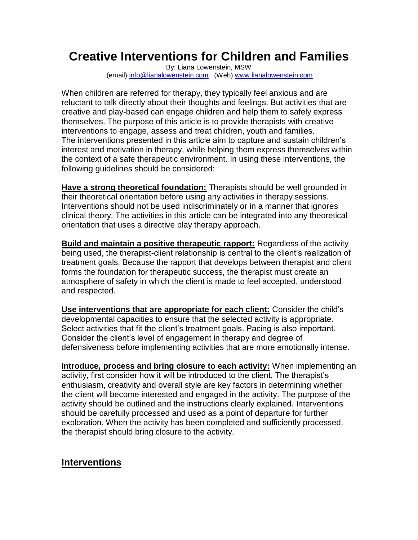# **Creative Interventions for Children and Families**

By: Liana Lowenstein, MSW (email) [info@lianalowenstein.com](mailto:info@lianalowenstein.com) (Web) [www.lianalowenstein.com](http://www.lianalowenstein.com/)

When children are referred for therapy, they typically feel anxious and are reluctant to talk directly about their thoughts and feelings. But activities that are creative and play-based can engage children and help them to safely express themselves. The purpose of this article is to provide therapists with creative interventions to engage, assess and treat children, youth and families. The interventions presented in this article aim to capture and sustain children's interest and motivation in therapy, while helping them express themselves within the context of a safe therapeutic environment. In using these interventions, the following guidelines should be considered:

**Have a strong theoretical foundation:** Therapists should be well grounded in their theoretical orientation before using any activities in therapy sessions. Interventions should not be used indiscriminately or in a manner that ignores clinical theory. The activities in this article can be integrated into any theoretical orientation that uses a directive play therapy approach.

**Build and maintain a positive therapeutic rapport:** Regardless of the activity being used, the therapist-client relationship is central to the client's realization of treatment goals. Because the rapport that develops between therapist and client forms the foundation for therapeutic success, the therapist must create an atmosphere of safety in which the client is made to feel accepted, understood and respected.

**Use interventions that are appropriate for each client:** Consider the child's developmental capacities to ensure that the selected activity is appropriate. Select activities that fit the client's treatment goals. Pacing is also important. Consider the client's level of engagement in therapy and degree of defensiveness before implementing activities that are more emotionally intense.

**Introduce, process and bring closure to each activity:** When implementing an activity, first consider how it will be introduced to the client. The therapist's enthusiasm, creativity and overall style are key factors in determining whether the client will become interested and engaged in the activity. The purpose of the activity should be outlined and the instructions clearly explained. Interventions should be carefully processed and used as a point of departure for further exploration. When the activity has been completed and sufficiently processed, the therapist should bring closure to the activity.

# **Interventions**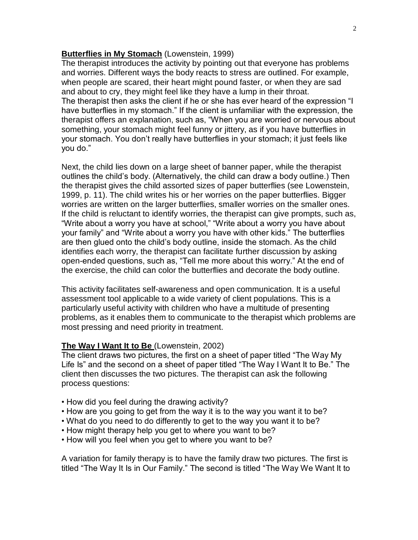#### **Butterflies in My Stomach** (Lowenstein, 1999)

The therapist introduces the activity by pointing out that everyone has problems and worries. Different ways the body reacts to stress are outlined. For example, when people are scared, their heart might pound faster, or when they are sad and about to cry, they might feel like they have a lump in their throat. The therapist then asks the client if he or she has ever heard of the expression "I have butterflies in my stomach." If the client is unfamiliar with the expression, the therapist offers an explanation, such as, "When you are worried or nervous about something, your stomach might feel funny or jittery, as if you have butterflies in your stomach. You don't really have butterflies in your stomach; it just feels like you do."

Next, the child lies down on a large sheet of banner paper, while the therapist outlines the child's body. (Alternatively, the child can draw a body outline.) Then the therapist gives the child assorted sizes of paper butterflies (see Lowenstein, 1999, p. 11). The child writes his or her worries on the paper butterflies. Bigger worries are written on the larger butterflies, smaller worries on the smaller ones. If the child is reluctant to identify worries, the therapist can give prompts, such as, "Write about a worry you have at school," "Write about a worry you have about your family" and "Write about a worry you have with other kids." The butterflies are then glued onto the child's body outline, inside the stomach. As the child identifies each worry, the therapist can facilitate further discussion by asking open-ended questions, such as, "Tell me more about this worry." At the end of the exercise, the child can color the butterflies and decorate the body outline.

This activity facilitates self-awareness and open communication. It is a useful assessment tool applicable to a wide variety of client populations. This is a particularly useful activity with children who have a multitude of presenting problems, as it enables them to communicate to the therapist which problems are most pressing and need priority in treatment.

#### **The Way I Want It to Be** (Lowenstein, 2002)

The client draws two pictures, the first on a sheet of paper titled "The Way My Life Is" and the second on a sheet of paper titled "The Way I Want It to Be." The client then discusses the two pictures. The therapist can ask the following process questions:

- How did you feel during the drawing activity?
- How are you going to get from the way it is to the way you want it to be?
- What do you need to do differently to get to the way you want it to be?
- How might therapy help you get to where you want to be?
- How will you feel when you get to where you want to be?

A variation for family therapy is to have the family draw two pictures. The first is titled "The Way It Is in Our Family." The second is titled "The Way We Want It to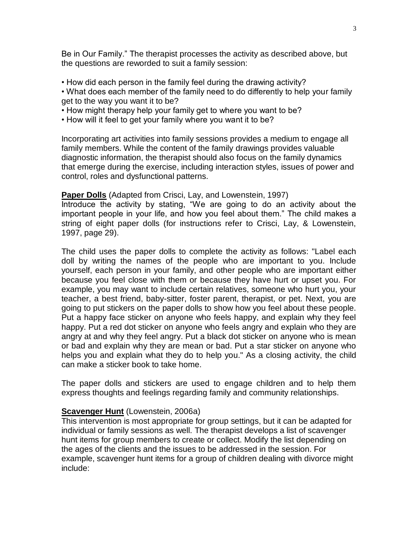Be in Our Family." The therapist processes the activity as described above, but the questions are reworded to suit a family session:

• How did each person in the family feel during the drawing activity?

• What does each member of the family need to do differently to help your family get to the way you want it to be?

• How might therapy help your family get to where you want to be?

• How will it feel to get your family where you want it to be?

Incorporating art activities into family sessions provides a medium to engage all family members. While the content of the family drawings provides valuable diagnostic information, the therapist should also focus on the family dynamics that emerge during the exercise, including interaction styles, issues of power and control, roles and dysfunctional patterns.

### **Paper Dolls** (Adapted from Crisci, Lay, and Lowenstein, 1997)

Introduce the activity by stating, "We are going to do an activity about the important people in your life, and how you feel about them." The child makes a string of eight paper dolls (for instructions refer to Crisci, Lay, & Lowenstein, 1997, page 29).

The child uses the paper dolls to complete the activity as follows: "Label each doll by writing the names of the people who are important to you. Include yourself, each person in your family, and other people who are important either because you feel close with them or because they have hurt or upset you. For example, you may want to include certain relatives, someone who hurt you, your teacher, a best friend, baby-sitter, foster parent, therapist, or pet. Next, you are going to put stickers on the paper dolls to show how you feel about these people. Put a happy face sticker on anyone who feels happy, and explain why they feel happy. Put a red dot sticker on anyone who feels angry and explain who they are angry at and why they feel angry. Put a black dot sticker on anyone who is mean or bad and explain why they are mean or bad. Put a star sticker on anyone who helps you and explain what they do to help you." As a closing activity, the child can make a sticker book to take home.

The paper dolls and stickers are used to engage children and to help them express thoughts and feelings regarding family and community relationships.

## **Scavenger Hunt** (Lowenstein, 2006a)

This intervention is most appropriate for group settings, but it can be adapted for individual or family sessions as well. The therapist develops a list of scavenger hunt items for group members to create or collect. Modify the list depending on the ages of the clients and the issues to be addressed in the session. For example, scavenger hunt items for a group of children dealing with divorce might include: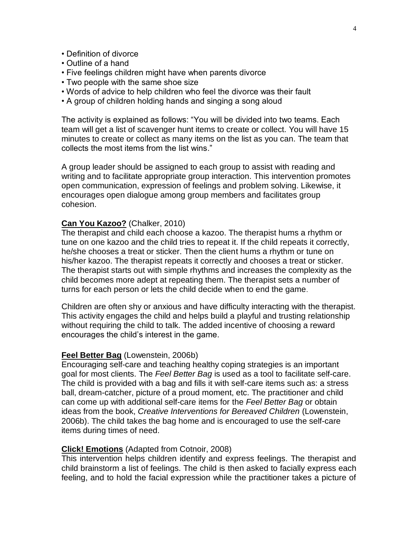- Definition of divorce
- Outline of a hand
- Five feelings children might have when parents divorce
- Two people with the same shoe size
- Words of advice to help children who feel the divorce was their fault
- A group of children holding hands and singing a song aloud

The activity is explained as follows: "You will be divided into two teams. Each team will get a list of scavenger hunt items to create or collect. You will have 15 minutes to create or collect as many items on the list as you can. The team that collects the most items from the list wins."

A group leader should be assigned to each group to assist with reading and writing and to facilitate appropriate group interaction. This intervention promotes open communication, expression of feelings and problem solving. Likewise, it encourages open dialogue among group members and facilitates group cohesion.

#### **Can You Kazoo?** (Chalker, 2010)

The therapist and child each choose a kazoo. The therapist hums a rhythm or tune on one kazoo and the child tries to repeat it. If the child repeats it correctly, he/she chooses a treat or sticker. Then the client hums a rhythm or tune on his/her kazoo. The therapist repeats it correctly and chooses a treat or sticker. The therapist starts out with simple rhythms and increases the complexity as the child becomes more adept at repeating them. The therapist sets a number of turns for each person or lets the child decide when to end the game.

Children are often shy or anxious and have difficulty interacting with the therapist. This activity engages the child and helps build a playful and trusting relationship without requiring the child to talk. The added incentive of choosing a reward encourages the child's interest in the game.

#### **Feel Better Bag** (Lowenstein, 2006b)

Encouraging self-care and teaching healthy coping strategies is an important goal for most clients. The *Feel Better Bag* is used as a tool to facilitate self-care. The child is provided with a bag and fills it with self-care items such as: a stress ball, dream-catcher, picture of a proud moment, etc. The practitioner and child can come up with additional self-care items for the *Feel Better Bag* or obtain ideas from the book, *Creative Interventions for Bereaved Children* (Lowenstein, 2006b). The child takes the bag home and is encouraged to use the self-care items during times of need.

#### **Click! Emotions** (Adapted from Cotnoir, 2008)

This intervention helps children identify and express feelings. The therapist and child brainstorm a list of feelings. The child is then asked to facially express each feeling, and to hold the facial expression while the practitioner takes a picture of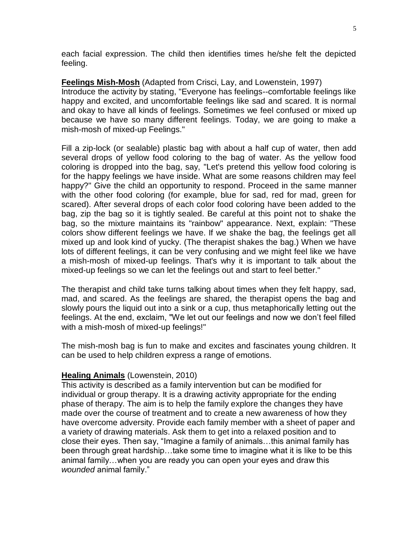each facial expression. The child then identifies times he/she felt the depicted feeling.

**Feelings Mish-Mosh** (Adapted from Crisci, Lay, and Lowenstein, 1997) Introduce the activity by stating, "Everyone has feelings--comfortable feelings like happy and excited, and uncomfortable feelings like sad and scared. It is normal and okay to have all kinds of feelings. Sometimes we feel confused or mixed up because we have so many different feelings. Today, we are going to make a mish-mosh of mixed-up Feelings."

Fill a zip-lock (or sealable) plastic bag with about a half cup of water, then add several drops of yellow food coloring to the bag of water. As the yellow food coloring is dropped into the bag, say, "Let's pretend this yellow food coloring is for the happy feelings we have inside. What are some reasons children may feel happy?" Give the child an opportunity to respond. Proceed in the same manner with the other food coloring (for example, blue for sad, red for mad, green for scared). After several drops of each color food coloring have been added to the bag, zip the bag so it is tightly sealed. Be careful at this point not to shake the bag, so the mixture maintains its "rainbow" appearance. Next, explain: "These colors show different feelings we have. If we shake the bag, the feelings get all mixed up and look kind of yucky. (The therapist shakes the bag.) When we have lots of different feelings, it can be very confusing and we might feel like we have a mish-mosh of mixed-up feelings. That's why it is important to talk about the mixed-up feelings so we can let the feelings out and start to feel better."

The therapist and child take turns talking about times when they felt happy, sad, mad, and scared. As the feelings are shared, the therapist opens the bag and slowly pours the liquid out into a sink or a cup, thus metaphorically letting out the feelings. At the end, exclaim, "We let out our feelings and now we don't feel filled with a mish-mosh of mixed-up feelings!"

The mish-mosh bag is fun to make and excites and fascinates young children. It can be used to help children express a range of emotions.

## **Healing Animals** (Lowenstein, 2010)

This activity is described as a family intervention but can be modified for individual or group therapy. It is a drawing activity appropriate for the ending phase of therapy. The aim is to help the family explore the changes they have made over the course of treatment and to create a new awareness of how they have overcome adversity. Provide each family member with a sheet of paper and a variety of drawing materials. Ask them to get into a relaxed position and to close their eyes. Then say, "Imagine a family of animals…this animal family has been through great hardship…take some time to imagine what it is like to be this animal family…when you are ready you can open your eyes and draw this *wounded* animal family."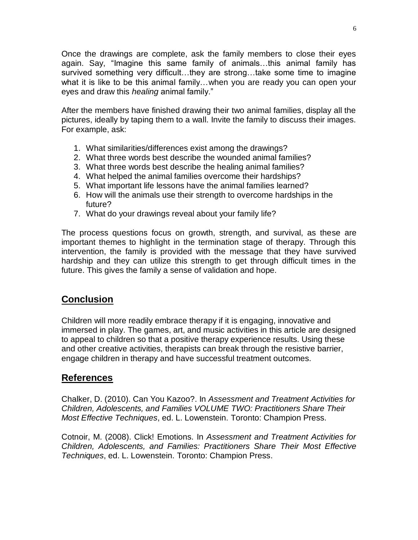Once the drawings are complete, ask the family members to close their eyes again. Say, "Imagine this same family of animals…this animal family has survived something very difficult…they are strong…take some time to imagine what it is like to be this animal family…when you are ready you can open your eyes and draw this *healing* animal family."

After the members have finished drawing their two animal families, display all the pictures, ideally by taping them to a wall. Invite the family to discuss their images. For example, ask:

- 1. What similarities/differences exist among the drawings?
- 2. What three words best describe the wounded animal families?
- 3. What three words best describe the healing animal families?
- 4. What helped the animal families overcome their hardships?
- 5. What important life lessons have the animal families learned?
- 6. How will the animals use their strength to overcome hardships in the future?
- 7. What do your drawings reveal about your family life?

The process questions focus on growth, strength, and survival, as these are important themes to highlight in the termination stage of therapy. Through this intervention, the family is provided with the message that they have survived hardship and they can utilize this strength to get through difficult times in the future. This gives the family a sense of validation and hope.

# **Conclusion**

Children will more readily embrace therapy if it is engaging, innovative and immersed in play. The games, art, and music activities in this article are designed to appeal to children so that a positive therapy experience results. Using these and other creative activities, therapists can break through the resistive barrier, engage children in therapy and have successful treatment outcomes.

# **References**

Chalker, D. (2010). Can You Kazoo?. In *Assessment and Treatment Activities for Children, Adolescents, and Families VOLUME TWO: Practitioners Share Their Most Effective Techniques*, ed. L. Lowenstein. Toronto: Champion Press.

Cotnoir, M. (2008). Click! Emotions. In *Assessment and Treatment Activities for Children, Adolescents, and Families: Practitioners Share Their Most Effective Techniques*, ed. L. Lowenstein. Toronto: Champion Press.